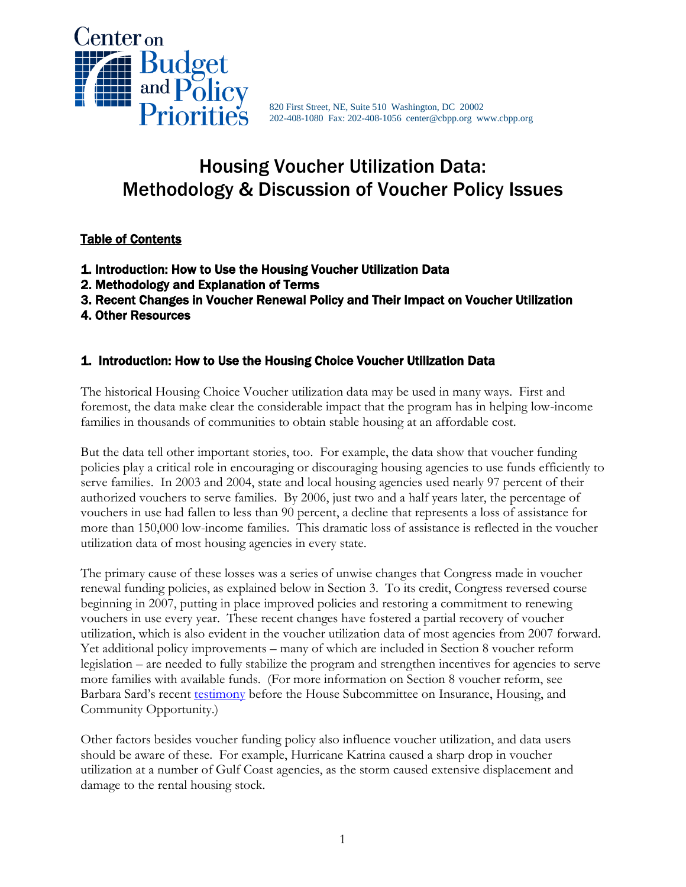

820 First Street, NE, Suite 510 Washington, DC 20002 202-408-1080 Fax: 202-408-1056 center@cbpp.org www.cbpp.org

# Housing Voucher Utilization Data: Methodology & Discussion of Voucher Policy Issues

## Table of Contents

- 1. Introduction: How to Use the Housing Voucher Utilization Data
- 2. Methodology and Explanation of Terms
- 3. Recent Changes in Voucher Renewal Policy and Their Impact on Voucher Utilization
- 4. Other Resources

### 1. Introduction: How to Use the Housing Choice Voucher Utilization Data

The historical Housing Choice Voucher utilization data may be used in many ways. First and foremost, the data make clear the considerable impact that the program has in helping low-income families in thousands of communities to obtain stable housing at an affordable cost.

But the data tell other important stories, too. For example, the data show that voucher funding policies play a critical role in encouraging or discouraging housing agencies to use funds efficiently to serve families. In 2003 and 2004, state and local housing agencies used nearly 97 percent of their authorized vouchers to serve families. By 2006, just two and a half years later, the percentage of vouchers in use had fallen to less than 90 percent, a decline that represents a loss of assistance for more than 150,000 low-income families. This dramatic loss of assistance is reflected in the voucher utilization data of most housing agencies in every state.

The primary cause of these losses was a series of unwise changes that Congress made in voucher renewal funding policies, as explained below in Section 3. To its credit, Congress reversed course beginning in 2007, putting in place improved policies and restoring a commitment to renewing vouchers in use every year. These recent changes have fostered a partial recovery of voucher utilization, which is also evident in the voucher utilization data of most agencies from 2007 forward. Yet additional policy improvements – many of which are included in Section 8 voucher reform legislation – are needed to fully stabilize the program and strengthen incentives for agencies to serve more families with available funds. (For more information on Section 8 voucher reform, see Barbara Sard's recent [testimony](http://www.cbpp.org/cms/index.cfm?fa=view&id=3517) before the House Subcommittee on Insurance, Housing, and Community Opportunity.)

Other factors besides voucher funding policy also influence voucher utilization, and data users should be aware of these. For example, Hurricane Katrina caused a sharp drop in voucher utilization at a number of Gulf Coast agencies, as the storm caused extensive displacement and damage to the rental housing stock.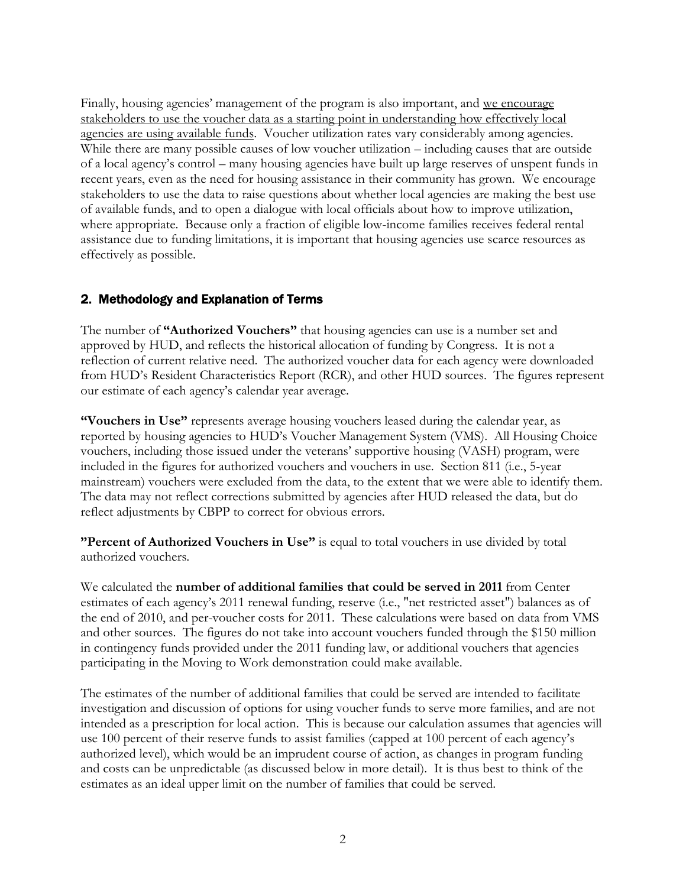Finally, housing agencies' management of the program is also important, and we encourage stakeholders to use the voucher data as a starting point in understanding how effectively local agencies are using available funds. Voucher utilization rates vary considerably among agencies. While there are many possible causes of low voucher utilization – including causes that are outside of a local agency's control – many housing agencies have built up large reserves of unspent funds in recent years, even as the need for housing assistance in their community has grown. We encourage stakeholders to use the data to raise questions about whether local agencies are making the best use of available funds, and to open a dialogue with local officials about how to improve utilization, where appropriate. Because only a fraction of eligible low-income families receives federal rental assistance due to funding limitations, it is important that housing agencies use scarce resources as effectively as possible.

## 2. Methodology and Explanation of Terms

The number of **"Authorized Vouchers"** that housing agencies can use is a number set and approved by HUD, and reflects the historical allocation of funding by Congress. It is not a reflection of current relative need. The authorized voucher data for each agency were downloaded from HUD's Resident Characteristics Report (RCR), and other HUD sources. The figures represent our estimate of each agency's calendar year average.

**"Vouchers in Use"** represents average housing vouchers leased during the calendar year, as reported by housing agencies to HUD's Voucher Management System (VMS). All Housing Choice vouchers, including those issued under the veterans' supportive housing (VASH) program, were included in the figures for authorized vouchers and vouchers in use. Section 811 (i.e., 5-year mainstream) vouchers were excluded from the data, to the extent that we were able to identify them. The data may not reflect corrections submitted by agencies after HUD released the data, but do reflect adjustments by CBPP to correct for obvious errors.

**"Percent of Authorized Vouchers in Use"** is equal to total vouchers in use divided by total authorized vouchers.

We calculated the **number of additional families that could be served in 2011** from Center estimates of each agency's 2011 renewal funding, reserve (i.e., "net restricted asset") balances as of the end of 2010, and per-voucher costs for 2011. These calculations were based on data from VMS and other sources. The figures do not take into account vouchers funded through the \$150 million in contingency funds provided under the 2011 funding law, or additional vouchers that agencies participating in the Moving to Work demonstration could make available.

The estimates of the number of additional families that could be served are intended to facilitate investigation and discussion of options for using voucher funds to serve more families, and are not intended as a prescription for local action. This is because our calculation assumes that agencies will use 100 percent of their reserve funds to assist families (capped at 100 percent of each agency's authorized level), which would be an imprudent course of action, as changes in program funding and costs can be unpredictable (as discussed below in more detail). It is thus best to think of the estimates as an ideal upper limit on the number of families that could be served.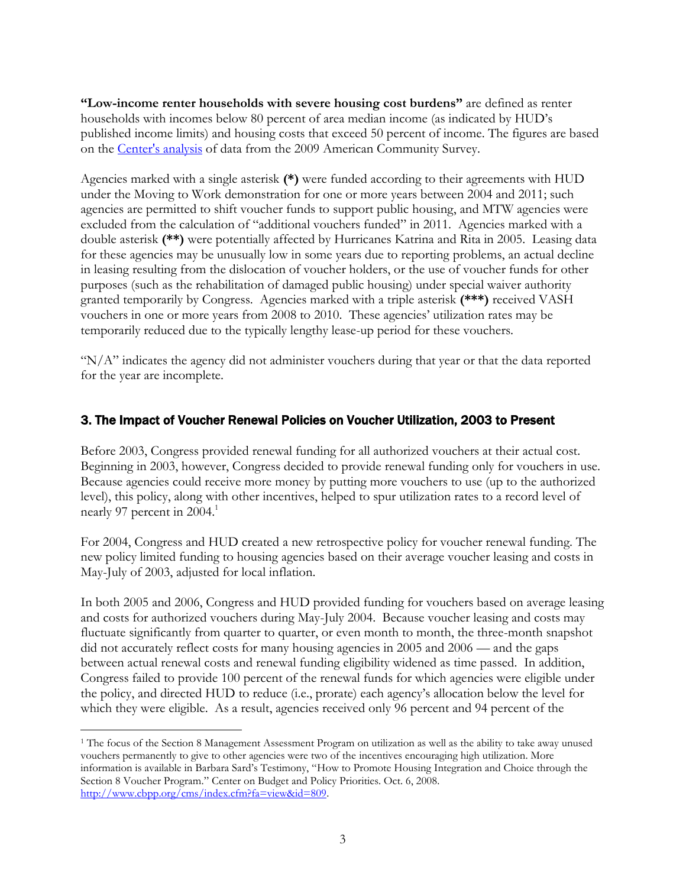**"Low-income renter households with severe housing cost burdens"** are defined as renter households with incomes below 80 percent of area median income (as indicated by HUD's published income limits) and housing costs that exceed 50 percent of income. The figures are based on the [Center's analysis](http://www.cbpp.org/cms/index.cfm?fa=view&id=3464) of data from the 2009 American Community Survey.

Agencies marked with a single asterisk **(\*)** were funded according to their agreements with HUD under the Moving to Work demonstration for one or more years between 2004 and 2011; such agencies are permitted to shift voucher funds to support public housing, and MTW agencies were excluded from the calculation of "additional vouchers funded" in 2011. Agencies marked with a double asterisk **(\*\*)** were potentially affected by Hurricanes Katrina and Rita in 2005. Leasing data for these agencies may be unusually low in some years due to reporting problems, an actual decline in leasing resulting from the dislocation of voucher holders, or the use of voucher funds for other purposes (such as the rehabilitation of damaged public housing) under special waiver authority granted temporarily by Congress. Agencies marked with a triple asterisk **(\*\*\*)** received VASH vouchers in one or more years from 2008 to 2010. These agencies' utilization rates may be temporarily reduced due to the typically lengthy lease-up period for these vouchers.

" $N/A$ " indicates the agency did not administer vouchers during that year or that the data reported for the year are incomplete.

### 3. The Impact of Voucher Renewal Policies on Voucher Utilization, 2003 to Present

Before 2003, Congress provided renewal funding for all authorized vouchers at their actual cost. Beginning in 2003, however, Congress decided to provide renewal funding only for vouchers in use. Because agencies could receive more money by putting more vouchers to use (up to the authorized level), this policy, along with other incentives, helped to spur utilization rates to a record level of nearly 97 percent in 2004.<sup>1</sup>

For 2004, Congress and HUD created a new retrospective policy for voucher renewal funding. The new policy limited funding to housing agencies based on their average voucher leasing and costs in May-July of 2003, adjusted for local inflation.

In both 2005 and 2006, Congress and HUD provided funding for vouchers based on average leasing and costs for authorized vouchers during May-July 2004. Because voucher leasing and costs may fluctuate significantly from quarter to quarter, or even month to month, the three-month snapshot did not accurately reflect costs for many housing agencies in 2005 and 2006 — and the gaps between actual renewal costs and renewal funding eligibility widened as time passed. In addition, Congress failed to provide 100 percent of the renewal funds for which agencies were eligible under the policy, and directed HUD to reduce (i.e., prorate) each agency's allocation below the level for which they were eligible. As a result, agencies received only 96 percent and 94 percent of the

 $\overline{a}$ <sup>1</sup> The focus of the Section 8 Management Assessment Program on utilization as well as the ability to take away unused vouchers permanently to give to other agencies were two of the incentives encouraging high utilization. More information is available in Barbara Sard's Testimony, "How to Promote Housing Integration and Choice through the Section 8 Voucher Program." Center on Budget and Policy Priorities. Oct. 6, 2008. [http://www.cbpp.org/cms/index.cfm?fa=view&id=809.](http://www.cbpp.org/cms/index.cfm?fa=view&id=809)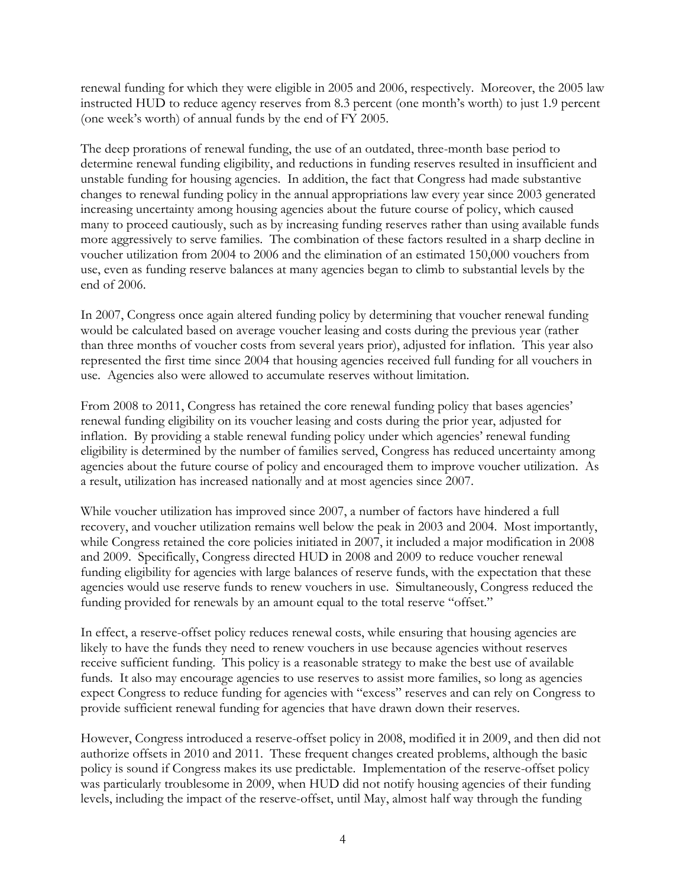renewal funding for which they were eligible in 2005 and 2006, respectively. Moreover, the 2005 law instructed HUD to reduce agency reserves from 8.3 percent (one month's worth) to just 1.9 percent (one week's worth) of annual funds by the end of FY 2005.

The deep prorations of renewal funding, the use of an outdated, three-month base period to determine renewal funding eligibility, and reductions in funding reserves resulted in insufficient and unstable funding for housing agencies. In addition, the fact that Congress had made substantive changes to renewal funding policy in the annual appropriations law every year since 2003 generated increasing uncertainty among housing agencies about the future course of policy, which caused many to proceed cautiously, such as by increasing funding reserves rather than using available funds more aggressively to serve families. The combination of these factors resulted in a sharp decline in voucher utilization from 2004 to 2006 and the elimination of an estimated 150,000 vouchers from use, even as funding reserve balances at many agencies began to climb to substantial levels by the end of 2006.

In 2007, Congress once again altered funding policy by determining that voucher renewal funding would be calculated based on average voucher leasing and costs during the previous year (rather than three months of voucher costs from several years prior), adjusted for inflation. This year also represented the first time since 2004 that housing agencies received full funding for all vouchers in use. Agencies also were allowed to accumulate reserves without limitation.

From 2008 to 2011, Congress has retained the core renewal funding policy that bases agencies' renewal funding eligibility on its voucher leasing and costs during the prior year, adjusted for inflation. By providing a stable renewal funding policy under which agencies' renewal funding eligibility is determined by the number of families served, Congress has reduced uncertainty among agencies about the future course of policy and encouraged them to improve voucher utilization. As a result, utilization has increased nationally and at most agencies since 2007.

While voucher utilization has improved since 2007, a number of factors have hindered a full recovery, and voucher utilization remains well below the peak in 2003 and 2004. Most importantly, while Congress retained the core policies initiated in 2007, it included a major modification in 2008 and 2009. Specifically, Congress directed HUD in 2008 and 2009 to reduce voucher renewal funding eligibility for agencies with large balances of reserve funds, with the expectation that these agencies would use reserve funds to renew vouchers in use. Simultaneously, Congress reduced the funding provided for renewals by an amount equal to the total reserve "offset."

In effect, a reserve-offset policy reduces renewal costs, while ensuring that housing agencies are likely to have the funds they need to renew vouchers in use because agencies without reserves receive sufficient funding. This policy is a reasonable strategy to make the best use of available funds. It also may encourage agencies to use reserves to assist more families, so long as agencies expect Congress to reduce funding for agencies with "excess" reserves and can rely on Congress to provide sufficient renewal funding for agencies that have drawn down their reserves.

However, Congress introduced a reserve-offset policy in 2008, modified it in 2009, and then did not authorize offsets in 2010 and 2011. These frequent changes created problems, although the basic policy is sound if Congress makes its use predictable. Implementation of the reserve-offset policy was particularly troublesome in 2009, when HUD did not notify housing agencies of their funding levels, including the impact of the reserve-offset, until May, almost half way through the funding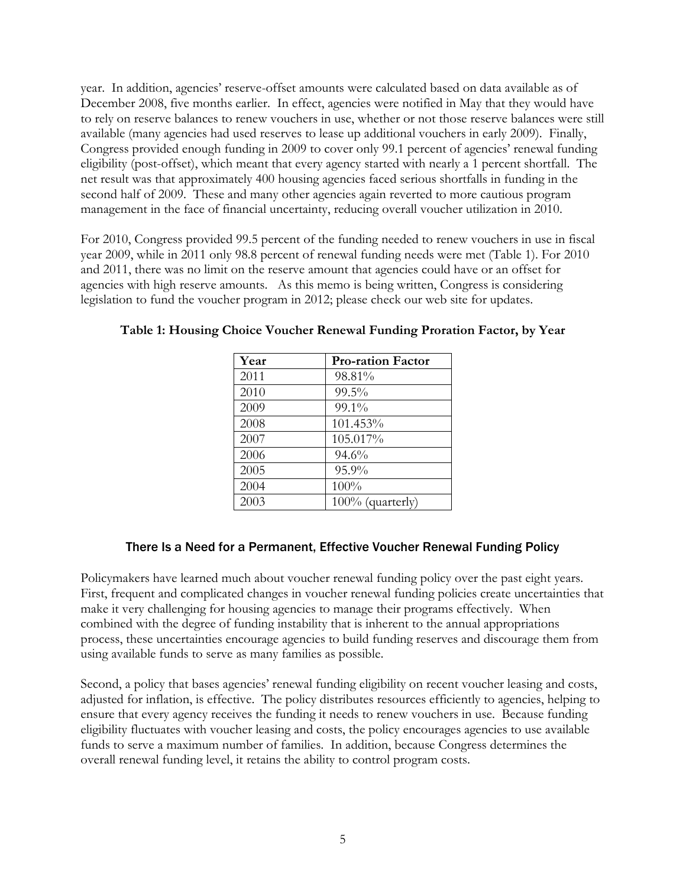year. In addition, agencies' reserve-offset amounts were calculated based on data available as of December 2008, five months earlier. In effect, agencies were notified in May that they would have to rely on reserve balances to renew vouchers in use, whether or not those reserve balances were still available (many agencies had used reserves to lease up additional vouchers in early 2009). Finally, Congress provided enough funding in 2009 to cover only 99.1 percent of agencies' renewal funding eligibility (post-offset), which meant that every agency started with nearly a 1 percent shortfall. The net result was that approximately 400 housing agencies faced serious shortfalls in funding in the second half of 2009. These and many other agencies again reverted to more cautious program management in the face of financial uncertainty, reducing overall voucher utilization in 2010.

For 2010, Congress provided 99.5 percent of the funding needed to renew vouchers in use in fiscal year 2009, while in 2011 only 98.8 percent of renewal funding needs were met (Table 1). For 2010 and 2011, there was no limit on the reserve amount that agencies could have or an offset for agencies with high reserve amounts. As this memo is being written, Congress is considering legislation to fund the voucher program in 2012; please check our web site for updates.

| Year | <b>Pro-ration Factor</b> |
|------|--------------------------|
| 2011 | 98.81%                   |
| 2010 | 99.5%                    |
| 2009 | 99.1%                    |
| 2008 | 101.453%                 |
| 2007 | 105.017%                 |
| 2006 | 94.6%                    |
| 2005 | 95.9%                    |
| 2004 | 100%                     |
| 2003 | 100% (quarterly)         |

**Table 1: Housing Choice Voucher Renewal Funding Proration Factor, by Year**

### There Is a Need for a Permanent, Effective Voucher Renewal Funding Policy

Policymakers have learned much about voucher renewal funding policy over the past eight years. First, frequent and complicated changes in voucher renewal funding policies create uncertainties that make it very challenging for housing agencies to manage their programs effectively. When combined with the degree of funding instability that is inherent to the annual appropriations process, these uncertainties encourage agencies to build funding reserves and discourage them from using available funds to serve as many families as possible.

Second, a policy that bases agencies' renewal funding eligibility on recent voucher leasing and costs, adjusted for inflation, is effective. The policy distributes resources efficiently to agencies, helping to ensure that every agency receives the funding it needs to renew vouchers in use. Because funding eligibility fluctuates with voucher leasing and costs, the policy encourages agencies to use available funds to serve a maximum number of families. In addition, because Congress determines the overall renewal funding level, it retains the ability to control program costs.